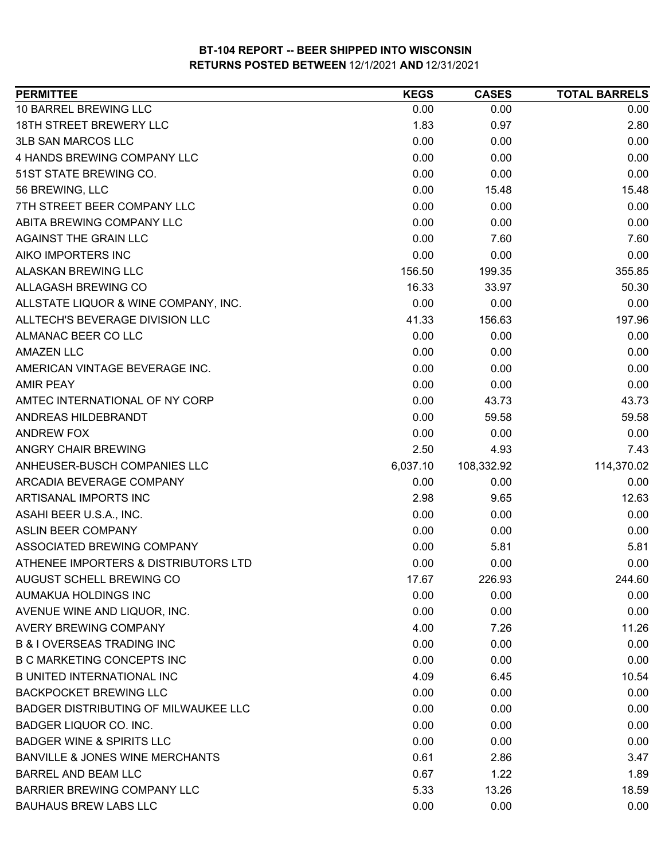| <b>PERMITTEE</b>                            | <b>KEGS</b> | <b>CASES</b> | <b>TOTAL BARRELS</b> |
|---------------------------------------------|-------------|--------------|----------------------|
| 10 BARREL BREWING LLC                       | 0.00        | 0.00         | 0.00                 |
| 18TH STREET BREWERY LLC                     | 1.83        | 0.97         | 2.80                 |
| <b>3LB SAN MARCOS LLC</b>                   | 0.00        | 0.00         | 0.00                 |
| 4 HANDS BREWING COMPANY LLC                 | 0.00        | 0.00         | 0.00                 |
| 51ST STATE BREWING CO.                      | 0.00        | 0.00         | 0.00                 |
| 56 BREWING, LLC                             | 0.00        | 15.48        | 15.48                |
| 7TH STREET BEER COMPANY LLC                 | 0.00        | 0.00         | 0.00                 |
| ABITA BREWING COMPANY LLC                   | 0.00        | 0.00         | 0.00                 |
| AGAINST THE GRAIN LLC                       | 0.00        | 7.60         | 7.60                 |
| AIKO IMPORTERS INC                          | 0.00        | 0.00         | 0.00                 |
| ALASKAN BREWING LLC                         | 156.50      | 199.35       | 355.85               |
| ALLAGASH BREWING CO                         | 16.33       | 33.97        | 50.30                |
| ALLSTATE LIQUOR & WINE COMPANY, INC.        | 0.00        | 0.00         | 0.00                 |
| ALLTECH'S BEVERAGE DIVISION LLC             | 41.33       | 156.63       | 197.96               |
| ALMANAC BEER CO LLC                         | 0.00        | 0.00         | 0.00                 |
| <b>AMAZEN LLC</b>                           | 0.00        | 0.00         | 0.00                 |
| AMERICAN VINTAGE BEVERAGE INC.              | 0.00        | 0.00         | 0.00                 |
| <b>AMIR PEAY</b>                            | 0.00        | 0.00         | 0.00                 |
| AMTEC INTERNATIONAL OF NY CORP              | 0.00        | 43.73        | 43.73                |
| ANDREAS HILDEBRANDT                         | 0.00        | 59.58        | 59.58                |
| <b>ANDREW FOX</b>                           | 0.00        | 0.00         | 0.00                 |
| ANGRY CHAIR BREWING                         | 2.50        | 4.93         | 7.43                 |
| ANHEUSER-BUSCH COMPANIES LLC                | 6,037.10    | 108,332.92   | 114,370.02           |
| ARCADIA BEVERAGE COMPANY                    | 0.00        | 0.00         | 0.00                 |
| ARTISANAL IMPORTS INC                       | 2.98        | 9.65         | 12.63                |
| ASAHI BEER U.S.A., INC.                     | 0.00        | 0.00         | 0.00                 |
| <b>ASLIN BEER COMPANY</b>                   | 0.00        | 0.00         | 0.00                 |
| ASSOCIATED BREWING COMPANY                  | 0.00        | 5.81         | 5.81                 |
| ATHENEE IMPORTERS & DISTRIBUTORS LTD        | 0.00        | 0.00         | 0.00                 |
| AUGUST SCHELL BREWING CO                    | 17.67       | 226.93       | 244.60               |
| AUMAKUA HOLDINGS INC                        | 0.00        | 0.00         | 0.00                 |
| AVENUE WINE AND LIQUOR, INC.                | 0.00        | 0.00         | 0.00                 |
| AVERY BREWING COMPANY                       | 4.00        | 7.26         | 11.26                |
| <b>B &amp; I OVERSEAS TRADING INC</b>       | 0.00        | 0.00         | 0.00                 |
| <b>B C MARKETING CONCEPTS INC</b>           | 0.00        | 0.00         | 0.00                 |
| <b>B UNITED INTERNATIONAL INC</b>           | 4.09        | 6.45         | 10.54                |
| <b>BACKPOCKET BREWING LLC</b>               | 0.00        | 0.00         | 0.00                 |
| <b>BADGER DISTRIBUTING OF MILWAUKEE LLC</b> | 0.00        | 0.00         | 0.00                 |
| BADGER LIQUOR CO. INC.                      | 0.00        | 0.00         | 0.00                 |
| <b>BADGER WINE &amp; SPIRITS LLC</b>        | 0.00        | 0.00         | 0.00                 |
| BANVILLE & JONES WINE MERCHANTS             | 0.61        | 2.86         | 3.47                 |
| <b>BARREL AND BEAM LLC</b>                  | 0.67        | 1.22         | 1.89                 |
| BARRIER BREWING COMPANY LLC                 | 5.33        | 13.26        | 18.59                |
| <b>BAUHAUS BREW LABS LLC</b>                | 0.00        | 0.00         | 0.00                 |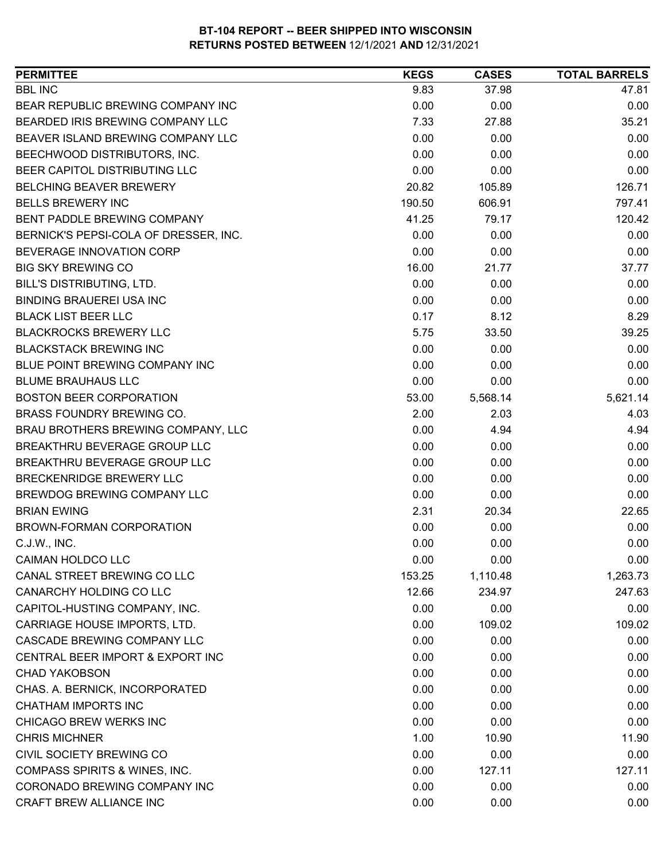| <b>PERMITTEE</b>                      | <b>KEGS</b> | <b>CASES</b> | <b>TOTAL BARRELS</b> |
|---------------------------------------|-------------|--------------|----------------------|
| <b>BBL INC</b>                        | 9.83        | 37.98        | 47.81                |
| BEAR REPUBLIC BREWING COMPANY INC     | 0.00        | 0.00         | 0.00                 |
| BEARDED IRIS BREWING COMPANY LLC      | 7.33        | 27.88        | 35.21                |
| BEAVER ISLAND BREWING COMPANY LLC     | 0.00        | 0.00         | 0.00                 |
| BEECHWOOD DISTRIBUTORS, INC.          | 0.00        | 0.00         | 0.00                 |
| BEER CAPITOL DISTRIBUTING LLC         | 0.00        | 0.00         | 0.00                 |
| <b>BELCHING BEAVER BREWERY</b>        | 20.82       | 105.89       | 126.71               |
| <b>BELLS BREWERY INC</b>              | 190.50      | 606.91       | 797.41               |
| BENT PADDLE BREWING COMPANY           | 41.25       | 79.17        | 120.42               |
| BERNICK'S PEPSI-COLA OF DRESSER, INC. | 0.00        | 0.00         | 0.00                 |
| BEVERAGE INNOVATION CORP              | 0.00        | 0.00         | 0.00                 |
| <b>BIG SKY BREWING CO</b>             | 16.00       | 21.77        | 37.77                |
| BILL'S DISTRIBUTING, LTD.             | 0.00        | 0.00         | 0.00                 |
| <b>BINDING BRAUEREI USA INC</b>       | 0.00        | 0.00         | 0.00                 |
| <b>BLACK LIST BEER LLC</b>            | 0.17        | 8.12         | 8.29                 |
| <b>BLACKROCKS BREWERY LLC</b>         | 5.75        | 33.50        | 39.25                |
| <b>BLACKSTACK BREWING INC</b>         | 0.00        | 0.00         | 0.00                 |
| BLUE POINT BREWING COMPANY INC        | 0.00        | 0.00         | 0.00                 |
| <b>BLUME BRAUHAUS LLC</b>             | 0.00        | 0.00         | 0.00                 |
| <b>BOSTON BEER CORPORATION</b>        | 53.00       | 5,568.14     | 5,621.14             |
| BRASS FOUNDRY BREWING CO.             | 2.00        | 2.03         | 4.03                 |
| BRAU BROTHERS BREWING COMPANY, LLC    | 0.00        | 4.94         | 4.94                 |
| BREAKTHRU BEVERAGE GROUP LLC          | 0.00        | 0.00         | 0.00                 |
| BREAKTHRU BEVERAGE GROUP LLC          | 0.00        | 0.00         | 0.00                 |
| <b>BRECKENRIDGE BREWERY LLC</b>       | 0.00        | 0.00         | 0.00                 |
| BREWDOG BREWING COMPANY LLC           | 0.00        | 0.00         | 0.00                 |
| <b>BRIAN EWING</b>                    | 2.31        | 20.34        | 22.65                |
| BROWN-FORMAN CORPORATION              | 0.00        | 0.00         | 0.00                 |
| C.J.W., INC.                          | 0.00        | 0.00         | 0.00                 |
| <b>CAIMAN HOLDCO LLC</b>              | 0.00        | 0.00         | 0.00                 |
| CANAL STREET BREWING CO LLC           | 153.25      | 1,110.48     | 1,263.73             |
| CANARCHY HOLDING CO LLC               | 12.66       | 234.97       | 247.63               |
| CAPITOL-HUSTING COMPANY, INC.         | 0.00        | 0.00         | 0.00                 |
| CARRIAGE HOUSE IMPORTS, LTD.          | 0.00        | 109.02       | 109.02               |
| CASCADE BREWING COMPANY LLC           | 0.00        | 0.00         | 0.00                 |
| CENTRAL BEER IMPORT & EXPORT INC      | 0.00        | 0.00         | 0.00                 |
| <b>CHAD YAKOBSON</b>                  | 0.00        | 0.00         | 0.00                 |
| CHAS. A. BERNICK, INCORPORATED        | 0.00        | 0.00         | 0.00                 |
| <b>CHATHAM IMPORTS INC</b>            | 0.00        | 0.00         | 0.00                 |
| CHICAGO BREW WERKS INC                | 0.00        | 0.00         | 0.00                 |
| <b>CHRIS MICHNER</b>                  | 1.00        | 10.90        | 11.90                |
| CIVIL SOCIETY BREWING CO              | 0.00        | 0.00         | 0.00                 |
| COMPASS SPIRITS & WINES, INC.         | 0.00        | 127.11       | 127.11               |
| CORONADO BREWING COMPANY INC          | 0.00        | 0.00         | 0.00                 |
| CRAFT BREW ALLIANCE INC               | 0.00        | 0.00         | 0.00                 |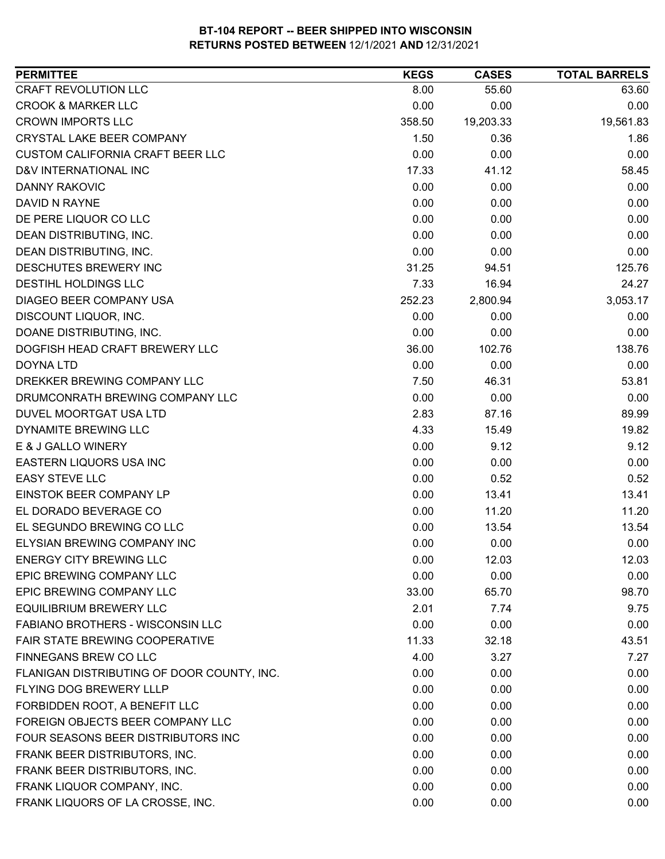| CRAFT REVOLUTION LLC<br>63.60<br>8.00<br>55.60<br><b>CROOK &amp; MARKER LLC</b><br>0.00<br>0.00<br>0.00<br><b>CROWN IMPORTS LLC</b><br>19,561.83<br>358.50<br>19,203.33<br><b>CRYSTAL LAKE BEER COMPANY</b><br>1.50<br>0.36<br>1.86<br><b>CUSTOM CALIFORNIA CRAFT BEER LLC</b><br>0.00<br>0.00<br>0.00<br>D&V INTERNATIONAL INC<br>17.33<br>58.45<br>41.12<br><b>DANNY RAKOVIC</b><br>0.00<br>0.00<br>0.00<br>0.00<br>DAVID N RAYNE<br>0.00<br>0.00<br>0.00<br>DE PERE LIQUOR CO LLC<br>0.00<br>0.00<br>DEAN DISTRIBUTING, INC.<br>0.00<br>0.00<br>0.00<br>0.00<br>DEAN DISTRIBUTING, INC.<br>0.00<br>0.00<br>DESCHUTES BREWERY INC<br>31.25<br>94.51<br>125.76<br>DESTIHL HOLDINGS LLC<br>7.33<br>16.94<br>24.27<br>DIAGEO BEER COMPANY USA<br>252.23<br>3,053.17<br>2,800.94<br>DISCOUNT LIQUOR, INC.<br>0.00<br>0.00<br>0.00<br>DOANE DISTRIBUTING, INC.<br>0.00<br>0.00<br>0.00<br>DOGFISH HEAD CRAFT BREWERY LLC<br>36.00<br>102.76<br>138.76<br>0.00<br>0.00<br><b>DOYNA LTD</b><br>0.00<br>DREKKER BREWING COMPANY LLC<br>7.50<br>46.31<br>53.81<br>0.00<br>0.00<br>0.00<br>DRUMCONRATH BREWING COMPANY LLC<br>2.83<br>DUVEL MOORTGAT USA LTD<br>89.99<br>87.16<br>DYNAMITE BREWING LLC<br>4.33<br>19.82<br>15.49<br>E & J GALLO WINERY<br>0.00<br>9.12<br>9.12 |
|------------------------------------------------------------------------------------------------------------------------------------------------------------------------------------------------------------------------------------------------------------------------------------------------------------------------------------------------------------------------------------------------------------------------------------------------------------------------------------------------------------------------------------------------------------------------------------------------------------------------------------------------------------------------------------------------------------------------------------------------------------------------------------------------------------------------------------------------------------------------------------------------------------------------------------------------------------------------------------------------------------------------------------------------------------------------------------------------------------------------------------------------------------------------------------------------------------------------------------------------------------------------|
|                                                                                                                                                                                                                                                                                                                                                                                                                                                                                                                                                                                                                                                                                                                                                                                                                                                                                                                                                                                                                                                                                                                                                                                                                                                                        |
|                                                                                                                                                                                                                                                                                                                                                                                                                                                                                                                                                                                                                                                                                                                                                                                                                                                                                                                                                                                                                                                                                                                                                                                                                                                                        |
|                                                                                                                                                                                                                                                                                                                                                                                                                                                                                                                                                                                                                                                                                                                                                                                                                                                                                                                                                                                                                                                                                                                                                                                                                                                                        |
|                                                                                                                                                                                                                                                                                                                                                                                                                                                                                                                                                                                                                                                                                                                                                                                                                                                                                                                                                                                                                                                                                                                                                                                                                                                                        |
|                                                                                                                                                                                                                                                                                                                                                                                                                                                                                                                                                                                                                                                                                                                                                                                                                                                                                                                                                                                                                                                                                                                                                                                                                                                                        |
|                                                                                                                                                                                                                                                                                                                                                                                                                                                                                                                                                                                                                                                                                                                                                                                                                                                                                                                                                                                                                                                                                                                                                                                                                                                                        |
|                                                                                                                                                                                                                                                                                                                                                                                                                                                                                                                                                                                                                                                                                                                                                                                                                                                                                                                                                                                                                                                                                                                                                                                                                                                                        |
|                                                                                                                                                                                                                                                                                                                                                                                                                                                                                                                                                                                                                                                                                                                                                                                                                                                                                                                                                                                                                                                                                                                                                                                                                                                                        |
|                                                                                                                                                                                                                                                                                                                                                                                                                                                                                                                                                                                                                                                                                                                                                                                                                                                                                                                                                                                                                                                                                                                                                                                                                                                                        |
|                                                                                                                                                                                                                                                                                                                                                                                                                                                                                                                                                                                                                                                                                                                                                                                                                                                                                                                                                                                                                                                                                                                                                                                                                                                                        |
|                                                                                                                                                                                                                                                                                                                                                                                                                                                                                                                                                                                                                                                                                                                                                                                                                                                                                                                                                                                                                                                                                                                                                                                                                                                                        |
|                                                                                                                                                                                                                                                                                                                                                                                                                                                                                                                                                                                                                                                                                                                                                                                                                                                                                                                                                                                                                                                                                                                                                                                                                                                                        |
|                                                                                                                                                                                                                                                                                                                                                                                                                                                                                                                                                                                                                                                                                                                                                                                                                                                                                                                                                                                                                                                                                                                                                                                                                                                                        |
|                                                                                                                                                                                                                                                                                                                                                                                                                                                                                                                                                                                                                                                                                                                                                                                                                                                                                                                                                                                                                                                                                                                                                                                                                                                                        |
|                                                                                                                                                                                                                                                                                                                                                                                                                                                                                                                                                                                                                                                                                                                                                                                                                                                                                                                                                                                                                                                                                                                                                                                                                                                                        |
|                                                                                                                                                                                                                                                                                                                                                                                                                                                                                                                                                                                                                                                                                                                                                                                                                                                                                                                                                                                                                                                                                                                                                                                                                                                                        |
|                                                                                                                                                                                                                                                                                                                                                                                                                                                                                                                                                                                                                                                                                                                                                                                                                                                                                                                                                                                                                                                                                                                                                                                                                                                                        |
|                                                                                                                                                                                                                                                                                                                                                                                                                                                                                                                                                                                                                                                                                                                                                                                                                                                                                                                                                                                                                                                                                                                                                                                                                                                                        |
|                                                                                                                                                                                                                                                                                                                                                                                                                                                                                                                                                                                                                                                                                                                                                                                                                                                                                                                                                                                                                                                                                                                                                                                                                                                                        |
|                                                                                                                                                                                                                                                                                                                                                                                                                                                                                                                                                                                                                                                                                                                                                                                                                                                                                                                                                                                                                                                                                                                                                                                                                                                                        |
|                                                                                                                                                                                                                                                                                                                                                                                                                                                                                                                                                                                                                                                                                                                                                                                                                                                                                                                                                                                                                                                                                                                                                                                                                                                                        |
|                                                                                                                                                                                                                                                                                                                                                                                                                                                                                                                                                                                                                                                                                                                                                                                                                                                                                                                                                                                                                                                                                                                                                                                                                                                                        |
|                                                                                                                                                                                                                                                                                                                                                                                                                                                                                                                                                                                                                                                                                                                                                                                                                                                                                                                                                                                                                                                                                                                                                                                                                                                                        |
| 0.00<br>EASTERN LIQUORS USA INC<br>0.00<br>0.00                                                                                                                                                                                                                                                                                                                                                                                                                                                                                                                                                                                                                                                                                                                                                                                                                                                                                                                                                                                                                                                                                                                                                                                                                        |
| 0.00<br>0.52<br><b>EASY STEVE LLC</b><br>0.52                                                                                                                                                                                                                                                                                                                                                                                                                                                                                                                                                                                                                                                                                                                                                                                                                                                                                                                                                                                                                                                                                                                                                                                                                          |
| EINSTOK BEER COMPANY LP<br>0.00<br>13.41<br>13.41                                                                                                                                                                                                                                                                                                                                                                                                                                                                                                                                                                                                                                                                                                                                                                                                                                                                                                                                                                                                                                                                                                                                                                                                                      |
| EL DORADO BEVERAGE CO<br>0.00<br>11.20<br>11.20                                                                                                                                                                                                                                                                                                                                                                                                                                                                                                                                                                                                                                                                                                                                                                                                                                                                                                                                                                                                                                                                                                                                                                                                                        |
| EL SEGUNDO BREWING CO LLC<br>0.00<br>13.54<br>13.54                                                                                                                                                                                                                                                                                                                                                                                                                                                                                                                                                                                                                                                                                                                                                                                                                                                                                                                                                                                                                                                                                                                                                                                                                    |
| 0.00<br>ELYSIAN BREWING COMPANY INC<br>0.00<br>0.00                                                                                                                                                                                                                                                                                                                                                                                                                                                                                                                                                                                                                                                                                                                                                                                                                                                                                                                                                                                                                                                                                                                                                                                                                    |
| <b>ENERGY CITY BREWING LLC</b><br>0.00<br>12.03<br>12.03                                                                                                                                                                                                                                                                                                                                                                                                                                                                                                                                                                                                                                                                                                                                                                                                                                                                                                                                                                                                                                                                                                                                                                                                               |
| 0.00<br>0.00<br>EPIC BREWING COMPANY LLC<br>0.00                                                                                                                                                                                                                                                                                                                                                                                                                                                                                                                                                                                                                                                                                                                                                                                                                                                                                                                                                                                                                                                                                                                                                                                                                       |
| EPIC BREWING COMPANY LLC<br>33.00<br>65.70<br>98.70                                                                                                                                                                                                                                                                                                                                                                                                                                                                                                                                                                                                                                                                                                                                                                                                                                                                                                                                                                                                                                                                                                                                                                                                                    |
| <b>EQUILIBRIUM BREWERY LLC</b><br>9.75<br>2.01<br>7.74                                                                                                                                                                                                                                                                                                                                                                                                                                                                                                                                                                                                                                                                                                                                                                                                                                                                                                                                                                                                                                                                                                                                                                                                                 |
| 0.00<br><b>FABIANO BROTHERS - WISCONSIN LLC</b><br>0.00<br>0.00                                                                                                                                                                                                                                                                                                                                                                                                                                                                                                                                                                                                                                                                                                                                                                                                                                                                                                                                                                                                                                                                                                                                                                                                        |
| FAIR STATE BREWING COOPERATIVE<br>11.33<br>32.18<br>43.51                                                                                                                                                                                                                                                                                                                                                                                                                                                                                                                                                                                                                                                                                                                                                                                                                                                                                                                                                                                                                                                                                                                                                                                                              |
| FINNEGANS BREW CO LLC<br>4.00<br>3.27<br>7.27                                                                                                                                                                                                                                                                                                                                                                                                                                                                                                                                                                                                                                                                                                                                                                                                                                                                                                                                                                                                                                                                                                                                                                                                                          |
| 0.00<br>0.00<br>0.00<br>FLANIGAN DISTRIBUTING OF DOOR COUNTY, INC.                                                                                                                                                                                                                                                                                                                                                                                                                                                                                                                                                                                                                                                                                                                                                                                                                                                                                                                                                                                                                                                                                                                                                                                                     |
| <b>FLYING DOG BREWERY LLLP</b><br>0.00<br>0.00<br>0.00                                                                                                                                                                                                                                                                                                                                                                                                                                                                                                                                                                                                                                                                                                                                                                                                                                                                                                                                                                                                                                                                                                                                                                                                                 |
| FORBIDDEN ROOT, A BENEFIT LLC<br>0.00<br>0.00<br>0.00                                                                                                                                                                                                                                                                                                                                                                                                                                                                                                                                                                                                                                                                                                                                                                                                                                                                                                                                                                                                                                                                                                                                                                                                                  |
| FOREIGN OBJECTS BEER COMPANY LLC<br>0.00<br>0.00<br>0.00                                                                                                                                                                                                                                                                                                                                                                                                                                                                                                                                                                                                                                                                                                                                                                                                                                                                                                                                                                                                                                                                                                                                                                                                               |
| FOUR SEASONS BEER DISTRIBUTORS INC<br>0.00<br>0.00<br>0.00                                                                                                                                                                                                                                                                                                                                                                                                                                                                                                                                                                                                                                                                                                                                                                                                                                                                                                                                                                                                                                                                                                                                                                                                             |
| FRANK BEER DISTRIBUTORS, INC.<br>0.00<br>0.00<br>0.00                                                                                                                                                                                                                                                                                                                                                                                                                                                                                                                                                                                                                                                                                                                                                                                                                                                                                                                                                                                                                                                                                                                                                                                                                  |
| FRANK BEER DISTRIBUTORS, INC.<br>0.00<br>0.00<br>0.00                                                                                                                                                                                                                                                                                                                                                                                                                                                                                                                                                                                                                                                                                                                                                                                                                                                                                                                                                                                                                                                                                                                                                                                                                  |
| FRANK LIQUOR COMPANY, INC.<br>0.00<br>0.00<br>0.00                                                                                                                                                                                                                                                                                                                                                                                                                                                                                                                                                                                                                                                                                                                                                                                                                                                                                                                                                                                                                                                                                                                                                                                                                     |
| FRANK LIQUORS OF LA CROSSE, INC.<br>0.00<br>0.00<br>0.00                                                                                                                                                                                                                                                                                                                                                                                                                                                                                                                                                                                                                                                                                                                                                                                                                                                                                                                                                                                                                                                                                                                                                                                                               |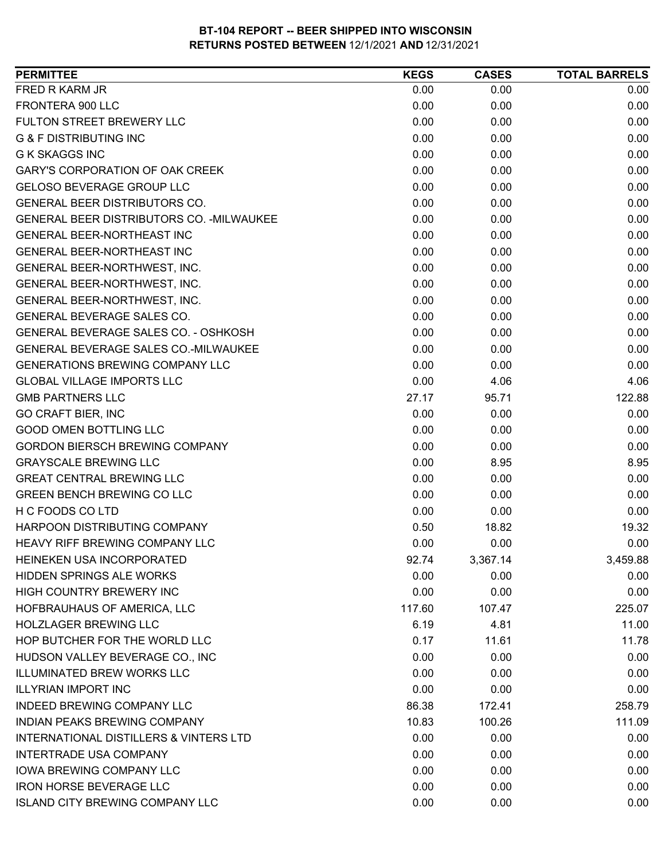| <b>PERMITTEE</b>                          | <b>KEGS</b> | <b>CASES</b> | <b>TOTAL BARRELS</b> |
|-------------------------------------------|-------------|--------------|----------------------|
| FRED R KARM JR                            | 0.00        | 0.00         | 0.00                 |
| FRONTERA 900 LLC                          | 0.00        | 0.00         | 0.00                 |
| FULTON STREET BREWERY LLC                 | 0.00        | 0.00         | 0.00                 |
| <b>G &amp; F DISTRIBUTING INC</b>         | 0.00        | 0.00         | 0.00                 |
| <b>G K SKAGGS INC</b>                     | 0.00        | 0.00         | 0.00                 |
| <b>GARY'S CORPORATION OF OAK CREEK</b>    | 0.00        | 0.00         | 0.00                 |
| <b>GELOSO BEVERAGE GROUP LLC</b>          | 0.00        | 0.00         | 0.00                 |
| GENERAL BEER DISTRIBUTORS CO.             | 0.00        | 0.00         | 0.00                 |
| GENERAL BEER DISTRIBUTORS CO. - MILWAUKEE | 0.00        | 0.00         | 0.00                 |
| <b>GENERAL BEER-NORTHEAST INC</b>         | 0.00        | 0.00         | 0.00                 |
| GENERAL BEER-NORTHEAST INC                | 0.00        | 0.00         | 0.00                 |
| GENERAL BEER-NORTHWEST, INC.              | 0.00        | 0.00         | 0.00                 |
| GENERAL BEER-NORTHWEST, INC.              | 0.00        | 0.00         | 0.00                 |
| GENERAL BEER-NORTHWEST, INC.              | 0.00        | 0.00         | 0.00                 |
| <b>GENERAL BEVERAGE SALES CO.</b>         | 0.00        | 0.00         | 0.00                 |
| GENERAL BEVERAGE SALES CO. - OSHKOSH      | 0.00        | 0.00         | 0.00                 |
| GENERAL BEVERAGE SALES CO.-MILWAUKEE      | 0.00        | 0.00         | 0.00                 |
| <b>GENERATIONS BREWING COMPANY LLC</b>    | 0.00        | 0.00         | 0.00                 |
| <b>GLOBAL VILLAGE IMPORTS LLC</b>         | 0.00        | 4.06         | 4.06                 |
| <b>GMB PARTNERS LLC</b>                   | 27.17       | 95.71        | 122.88               |
| <b>GO CRAFT BIER, INC</b>                 | 0.00        | 0.00         | 0.00                 |
| <b>GOOD OMEN BOTTLING LLC</b>             | 0.00        | 0.00         | 0.00                 |
| <b>GORDON BIERSCH BREWING COMPANY</b>     | 0.00        | 0.00         | 0.00                 |
| <b>GRAYSCALE BREWING LLC</b>              | 0.00        | 8.95         | 8.95                 |
| <b>GREAT CENTRAL BREWING LLC</b>          | 0.00        | 0.00         | 0.00                 |
| <b>GREEN BENCH BREWING CO LLC</b>         | 0.00        | 0.00         | 0.00                 |
| H C FOODS CO LTD                          | 0.00        | 0.00         | 0.00                 |
| HARPOON DISTRIBUTING COMPANY              | 0.50        | 18.82        | 19.32                |
| HEAVY RIFF BREWING COMPANY LLC            | 0.00        | 0.00         | 0.00                 |
| HEINEKEN USA INCORPORATED                 | 92.74       | 3,367.14     | 3,459.88             |
| <b>HIDDEN SPRINGS ALE WORKS</b>           | 0.00        | 0.00         | 0.00                 |
| HIGH COUNTRY BREWERY INC                  | 0.00        | 0.00         | 0.00                 |
| HOFBRAUHAUS OF AMERICA, LLC               | 117.60      | 107.47       | 225.07               |
| <b>HOLZLAGER BREWING LLC</b>              | 6.19        | 4.81         | 11.00                |
| HOP BUTCHER FOR THE WORLD LLC             | 0.17        | 11.61        | 11.78                |
| HUDSON VALLEY BEVERAGE CO., INC           | 0.00        | 0.00         | 0.00                 |
| <b>ILLUMINATED BREW WORKS LLC</b>         | 0.00        | 0.00         | 0.00                 |
| <b>ILLYRIAN IMPORT INC</b>                | 0.00        | 0.00         | 0.00                 |
| <b>INDEED BREWING COMPANY LLC</b>         | 86.38       | 172.41       | 258.79               |
| <b>INDIAN PEAKS BREWING COMPANY</b>       | 10.83       | 100.26       | 111.09               |
| INTERNATIONAL DISTILLERS & VINTERS LTD    | 0.00        | 0.00         | 0.00                 |
| <b>INTERTRADE USA COMPANY</b>             | 0.00        | 0.00         | 0.00                 |
| <b>IOWA BREWING COMPANY LLC</b>           | 0.00        | 0.00         | 0.00                 |
| <b>IRON HORSE BEVERAGE LLC</b>            | 0.00        | 0.00         | 0.00                 |
| <b>ISLAND CITY BREWING COMPANY LLC</b>    | 0.00        | 0.00         | 0.00                 |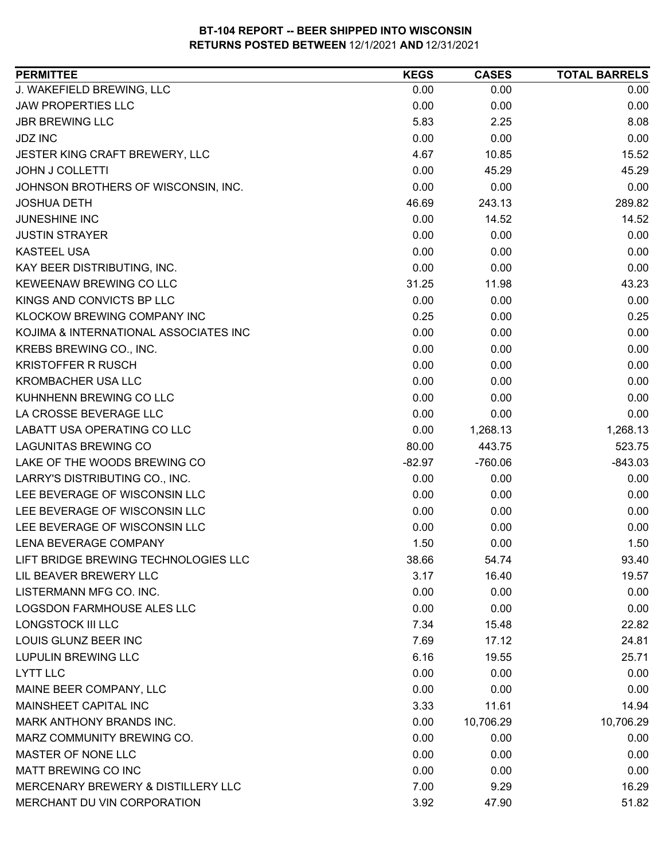| <b>PERMITTEE</b>                      | <b>KEGS</b> | <b>CASES</b> | <b>TOTAL BARRELS</b> |
|---------------------------------------|-------------|--------------|----------------------|
| J. WAKEFIELD BREWING, LLC             | 0.00        | 0.00         | 0.00                 |
| <b>JAW PROPERTIES LLC</b>             | 0.00        | 0.00         | 0.00                 |
| <b>JBR BREWING LLC</b>                | 5.83        | 2.25         | 8.08                 |
| <b>JDZ INC</b>                        | 0.00        | 0.00         | 0.00                 |
| JESTER KING CRAFT BREWERY, LLC        | 4.67        | 10.85        | 15.52                |
| <b>JOHN J COLLETTI</b>                | 0.00        | 45.29        | 45.29                |
| JOHNSON BROTHERS OF WISCONSIN, INC.   | 0.00        | 0.00         | 0.00                 |
| <b>JOSHUA DETH</b>                    | 46.69       | 243.13       | 289.82               |
| JUNESHINE INC                         | 0.00        | 14.52        | 14.52                |
| <b>JUSTIN STRAYER</b>                 | 0.00        | 0.00         | 0.00                 |
| <b>KASTEEL USA</b>                    | 0.00        | 0.00         | 0.00                 |
| KAY BEER DISTRIBUTING, INC.           | 0.00        | 0.00         | 0.00                 |
| <b>KEWEENAW BREWING CO LLC</b>        | 31.25       | 11.98        | 43.23                |
| KINGS AND CONVICTS BP LLC             | 0.00        | 0.00         | 0.00                 |
| KLOCKOW BREWING COMPANY INC           | 0.25        | 0.00         | 0.25                 |
| KOJIMA & INTERNATIONAL ASSOCIATES INC | 0.00        | 0.00         | 0.00                 |
| KREBS BREWING CO., INC.               | 0.00        | 0.00         | 0.00                 |
| <b>KRISTOFFER R RUSCH</b>             | 0.00        | 0.00         | 0.00                 |
| <b>KROMBACHER USA LLC</b>             | 0.00        | 0.00         | 0.00                 |
| KUHNHENN BREWING CO LLC               | 0.00        | 0.00         | 0.00                 |
| LA CROSSE BEVERAGE LLC                | 0.00        | 0.00         | 0.00                 |
| LABATT USA OPERATING CO LLC           | 0.00        | 1,268.13     | 1,268.13             |
| <b>LAGUNITAS BREWING CO</b>           | 80.00       | 443.75       | 523.75               |
| LAKE OF THE WOODS BREWING CO          | $-82.97$    | $-760.06$    | $-843.03$            |
| LARRY'S DISTRIBUTING CO., INC.        | 0.00        | 0.00         | 0.00                 |
| LEE BEVERAGE OF WISCONSIN LLC         | 0.00        | 0.00         | 0.00                 |
| LEE BEVERAGE OF WISCONSIN LLC         | 0.00        | 0.00         | 0.00                 |
| LEE BEVERAGE OF WISCONSIN LLC         | 0.00        | 0.00         | 0.00                 |
| LENA BEVERAGE COMPANY                 | 1.50        | 0.00         | 1.50                 |
| LIFT BRIDGE BREWING TECHNOLOGIES LLC  | 38.66       | 54.74        | 93.40                |
| LIL BEAVER BREWERY LLC                | 3.17        | 16.40        | 19.57                |
| LISTERMANN MFG CO. INC.               | 0.00        | 0.00         | 0.00                 |
| LOGSDON FARMHOUSE ALES LLC            | 0.00        | 0.00         | 0.00                 |
| LONGSTOCK III LLC                     | 7.34        | 15.48        | 22.82                |
| LOUIS GLUNZ BEER INC                  | 7.69        | 17.12        | 24.81                |
| <b>LUPULIN BREWING LLC</b>            | 6.16        | 19.55        | 25.71                |
| <b>LYTT LLC</b>                       | 0.00        | 0.00         | 0.00                 |
| MAINE BEER COMPANY, LLC               | 0.00        | 0.00         | 0.00                 |
| MAINSHEET CAPITAL INC                 | 3.33        | 11.61        | 14.94                |
| <b>MARK ANTHONY BRANDS INC.</b>       | 0.00        | 10,706.29    | 10,706.29            |
| MARZ COMMUNITY BREWING CO.            | 0.00        | 0.00         | 0.00                 |
| MASTER OF NONE LLC                    | 0.00        | 0.00         | 0.00                 |
| MATT BREWING CO INC                   | 0.00        | 0.00         | 0.00                 |
| MERCENARY BREWERY & DISTILLERY LLC    | 7.00        | 9.29         | 16.29                |
| MERCHANT DU VIN CORPORATION           | 3.92        | 47.90        | 51.82                |
|                                       |             |              |                      |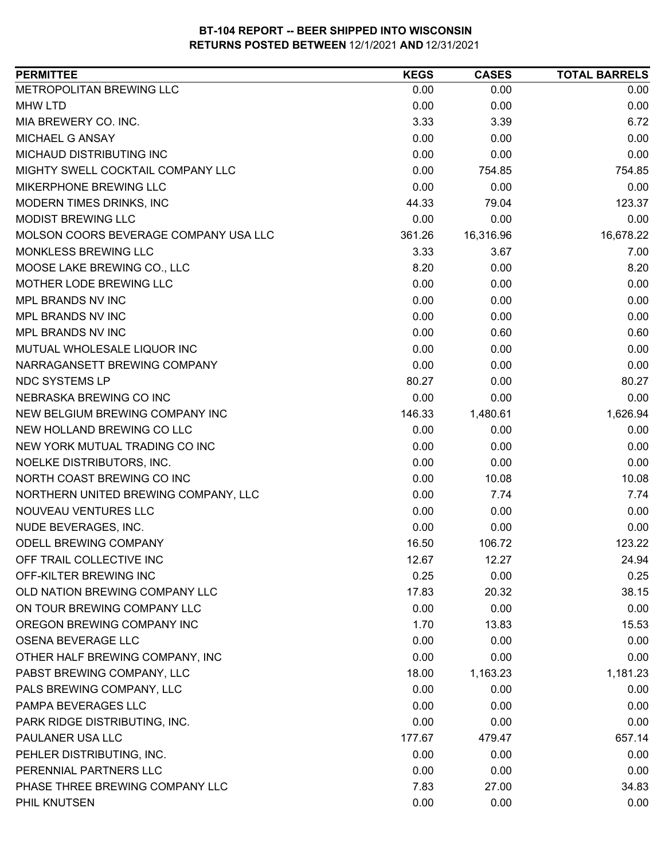| METROPOLITAN BREWING LLC<br>0.00<br>0.00<br>0.00<br><b>MHW LTD</b><br>0.00<br>0.00<br>0.00<br>MIA BREWERY CO. INC.<br>3.33<br>3.39<br>6.72<br>MICHAEL G ANSAY<br>0.00<br>0.00<br>0.00<br>MICHAUD DISTRIBUTING INC<br>0.00<br>0.00<br>0.00<br>MIGHTY SWELL COCKTAIL COMPANY LLC<br>0.00<br>754.85<br>754.85<br>MIKERPHONE BREWING LLC<br>0.00<br>0.00<br>0.00<br>MODERN TIMES DRINKS, INC<br>44.33<br>123.37<br>79.04<br>0.00<br><b>MODIST BREWING LLC</b><br>0.00<br>0.00<br>MOLSON COORS BEVERAGE COMPANY USA LLC<br>16,316.96<br>16,678.22<br>361.26<br>MONKLESS BREWING LLC<br>3.33<br>3.67<br>7.00<br>MOOSE LAKE BREWING CO., LLC<br>8.20<br>0.00<br>8.20<br>0.00<br>MOTHER LODE BREWING LLC<br>0.00<br>0.00<br>MPL BRANDS NV INC<br>0.00<br>0.00<br>0.00<br>MPL BRANDS NV INC<br>0.00<br>0.00<br>0.00<br>MPL BRANDS NV INC<br>0.00<br>0.60<br>0.60<br>0.00<br>MUTUAL WHOLESALE LIQUOR INC<br>0.00<br>0.00<br>NARRAGANSETT BREWING COMPANY<br>0.00<br>0.00<br>0.00<br><b>NDC SYSTEMS LP</b><br>80.27<br>0.00<br>80.27<br>0.00<br>0.00<br>0.00<br>NEBRASKA BREWING CO INC<br>1,626.94<br>NEW BELGIUM BREWING COMPANY INC<br>146.33<br>1,480.61<br>NEW HOLLAND BREWING CO LLC<br>0.00<br>0.00<br>0.00<br>NEW YORK MUTUAL TRADING CO INC<br>0.00<br>0.00<br>0.00<br>NOELKE DISTRIBUTORS, INC.<br>0.00<br>0.00<br>0.00<br>NORTH COAST BREWING CO INC<br>0.00<br>10.08<br>10.08<br>0.00<br>NORTHERN UNITED BREWING COMPANY, LLC<br>7.74<br>7.74<br>NOUVEAU VENTURES LLC<br>0.00<br>0.00<br>0.00<br>NUDE BEVERAGES, INC.<br>0.00<br>0.00<br>0.00<br>ODELL BREWING COMPANY<br>16.50<br>106.72<br>123.22<br>OFF TRAIL COLLECTIVE INC<br>12.67<br>12.27<br>24.94<br>OFF-KILTER BREWING INC<br>0.25<br>0.00<br>0.25<br>OLD NATION BREWING COMPANY LLC<br>38.15<br>17.83<br>20.32<br>ON TOUR BREWING COMPANY LLC<br>0.00<br>0.00<br>0.00<br>OREGON BREWING COMPANY INC<br>1.70<br>13.83<br>15.53<br>0.00<br>0.00<br><b>OSENA BEVERAGE LLC</b><br>0.00<br>OTHER HALF BREWING COMPANY, INC<br>0.00<br>0.00<br>0.00<br>PABST BREWING COMPANY, LLC<br>1,181.23<br>18.00<br>1,163.23<br>PALS BREWING COMPANY, LLC<br>0.00<br>0.00<br>0.00<br>PAMPA BEVERAGES LLC<br>0.00<br>0.00<br>0.00<br>PARK RIDGE DISTRIBUTING, INC.<br>0.00<br>0.00<br>0.00<br>PAULANER USA LLC<br>657.14<br>177.67<br>479.47<br>PEHLER DISTRIBUTING, INC.<br>0.00<br>0.00<br>0.00<br>PERENNIAL PARTNERS LLC<br>0.00<br>0.00<br>0.00<br>PHASE THREE BREWING COMPANY LLC<br>34.83<br>7.83<br>27.00<br>PHIL KNUTSEN<br>0.00<br>0.00<br>0.00 | <b>PERMITTEE</b> | <b>KEGS</b> | <b>CASES</b> | <b>TOTAL BARRELS</b> |
|-----------------------------------------------------------------------------------------------------------------------------------------------------------------------------------------------------------------------------------------------------------------------------------------------------------------------------------------------------------------------------------------------------------------------------------------------------------------------------------------------------------------------------------------------------------------------------------------------------------------------------------------------------------------------------------------------------------------------------------------------------------------------------------------------------------------------------------------------------------------------------------------------------------------------------------------------------------------------------------------------------------------------------------------------------------------------------------------------------------------------------------------------------------------------------------------------------------------------------------------------------------------------------------------------------------------------------------------------------------------------------------------------------------------------------------------------------------------------------------------------------------------------------------------------------------------------------------------------------------------------------------------------------------------------------------------------------------------------------------------------------------------------------------------------------------------------------------------------------------------------------------------------------------------------------------------------------------------------------------------------------------------------------------------------------------------------------------------------------------------------------------------------------------------------------------------------------------------------------------------------------------------------------------------------------------------------------------------------------------------------------------------------------------------------------------------------------------------------------------------------------|------------------|-------------|--------------|----------------------|
|                                                                                                                                                                                                                                                                                                                                                                                                                                                                                                                                                                                                                                                                                                                                                                                                                                                                                                                                                                                                                                                                                                                                                                                                                                                                                                                                                                                                                                                                                                                                                                                                                                                                                                                                                                                                                                                                                                                                                                                                                                                                                                                                                                                                                                                                                                                                                                                                                                                                                                     |                  |             |              |                      |
|                                                                                                                                                                                                                                                                                                                                                                                                                                                                                                                                                                                                                                                                                                                                                                                                                                                                                                                                                                                                                                                                                                                                                                                                                                                                                                                                                                                                                                                                                                                                                                                                                                                                                                                                                                                                                                                                                                                                                                                                                                                                                                                                                                                                                                                                                                                                                                                                                                                                                                     |                  |             |              |                      |
|                                                                                                                                                                                                                                                                                                                                                                                                                                                                                                                                                                                                                                                                                                                                                                                                                                                                                                                                                                                                                                                                                                                                                                                                                                                                                                                                                                                                                                                                                                                                                                                                                                                                                                                                                                                                                                                                                                                                                                                                                                                                                                                                                                                                                                                                                                                                                                                                                                                                                                     |                  |             |              |                      |
|                                                                                                                                                                                                                                                                                                                                                                                                                                                                                                                                                                                                                                                                                                                                                                                                                                                                                                                                                                                                                                                                                                                                                                                                                                                                                                                                                                                                                                                                                                                                                                                                                                                                                                                                                                                                                                                                                                                                                                                                                                                                                                                                                                                                                                                                                                                                                                                                                                                                                                     |                  |             |              |                      |
|                                                                                                                                                                                                                                                                                                                                                                                                                                                                                                                                                                                                                                                                                                                                                                                                                                                                                                                                                                                                                                                                                                                                                                                                                                                                                                                                                                                                                                                                                                                                                                                                                                                                                                                                                                                                                                                                                                                                                                                                                                                                                                                                                                                                                                                                                                                                                                                                                                                                                                     |                  |             |              |                      |
|                                                                                                                                                                                                                                                                                                                                                                                                                                                                                                                                                                                                                                                                                                                                                                                                                                                                                                                                                                                                                                                                                                                                                                                                                                                                                                                                                                                                                                                                                                                                                                                                                                                                                                                                                                                                                                                                                                                                                                                                                                                                                                                                                                                                                                                                                                                                                                                                                                                                                                     |                  |             |              |                      |
|                                                                                                                                                                                                                                                                                                                                                                                                                                                                                                                                                                                                                                                                                                                                                                                                                                                                                                                                                                                                                                                                                                                                                                                                                                                                                                                                                                                                                                                                                                                                                                                                                                                                                                                                                                                                                                                                                                                                                                                                                                                                                                                                                                                                                                                                                                                                                                                                                                                                                                     |                  |             |              |                      |
|                                                                                                                                                                                                                                                                                                                                                                                                                                                                                                                                                                                                                                                                                                                                                                                                                                                                                                                                                                                                                                                                                                                                                                                                                                                                                                                                                                                                                                                                                                                                                                                                                                                                                                                                                                                                                                                                                                                                                                                                                                                                                                                                                                                                                                                                                                                                                                                                                                                                                                     |                  |             |              |                      |
|                                                                                                                                                                                                                                                                                                                                                                                                                                                                                                                                                                                                                                                                                                                                                                                                                                                                                                                                                                                                                                                                                                                                                                                                                                                                                                                                                                                                                                                                                                                                                                                                                                                                                                                                                                                                                                                                                                                                                                                                                                                                                                                                                                                                                                                                                                                                                                                                                                                                                                     |                  |             |              |                      |
|                                                                                                                                                                                                                                                                                                                                                                                                                                                                                                                                                                                                                                                                                                                                                                                                                                                                                                                                                                                                                                                                                                                                                                                                                                                                                                                                                                                                                                                                                                                                                                                                                                                                                                                                                                                                                                                                                                                                                                                                                                                                                                                                                                                                                                                                                                                                                                                                                                                                                                     |                  |             |              |                      |
|                                                                                                                                                                                                                                                                                                                                                                                                                                                                                                                                                                                                                                                                                                                                                                                                                                                                                                                                                                                                                                                                                                                                                                                                                                                                                                                                                                                                                                                                                                                                                                                                                                                                                                                                                                                                                                                                                                                                                                                                                                                                                                                                                                                                                                                                                                                                                                                                                                                                                                     |                  |             |              |                      |
|                                                                                                                                                                                                                                                                                                                                                                                                                                                                                                                                                                                                                                                                                                                                                                                                                                                                                                                                                                                                                                                                                                                                                                                                                                                                                                                                                                                                                                                                                                                                                                                                                                                                                                                                                                                                                                                                                                                                                                                                                                                                                                                                                                                                                                                                                                                                                                                                                                                                                                     |                  |             |              |                      |
|                                                                                                                                                                                                                                                                                                                                                                                                                                                                                                                                                                                                                                                                                                                                                                                                                                                                                                                                                                                                                                                                                                                                                                                                                                                                                                                                                                                                                                                                                                                                                                                                                                                                                                                                                                                                                                                                                                                                                                                                                                                                                                                                                                                                                                                                                                                                                                                                                                                                                                     |                  |             |              |                      |
|                                                                                                                                                                                                                                                                                                                                                                                                                                                                                                                                                                                                                                                                                                                                                                                                                                                                                                                                                                                                                                                                                                                                                                                                                                                                                                                                                                                                                                                                                                                                                                                                                                                                                                                                                                                                                                                                                                                                                                                                                                                                                                                                                                                                                                                                                                                                                                                                                                                                                                     |                  |             |              |                      |
|                                                                                                                                                                                                                                                                                                                                                                                                                                                                                                                                                                                                                                                                                                                                                                                                                                                                                                                                                                                                                                                                                                                                                                                                                                                                                                                                                                                                                                                                                                                                                                                                                                                                                                                                                                                                                                                                                                                                                                                                                                                                                                                                                                                                                                                                                                                                                                                                                                                                                                     |                  |             |              |                      |
|                                                                                                                                                                                                                                                                                                                                                                                                                                                                                                                                                                                                                                                                                                                                                                                                                                                                                                                                                                                                                                                                                                                                                                                                                                                                                                                                                                                                                                                                                                                                                                                                                                                                                                                                                                                                                                                                                                                                                                                                                                                                                                                                                                                                                                                                                                                                                                                                                                                                                                     |                  |             |              |                      |
|                                                                                                                                                                                                                                                                                                                                                                                                                                                                                                                                                                                                                                                                                                                                                                                                                                                                                                                                                                                                                                                                                                                                                                                                                                                                                                                                                                                                                                                                                                                                                                                                                                                                                                                                                                                                                                                                                                                                                                                                                                                                                                                                                                                                                                                                                                                                                                                                                                                                                                     |                  |             |              |                      |
|                                                                                                                                                                                                                                                                                                                                                                                                                                                                                                                                                                                                                                                                                                                                                                                                                                                                                                                                                                                                                                                                                                                                                                                                                                                                                                                                                                                                                                                                                                                                                                                                                                                                                                                                                                                                                                                                                                                                                                                                                                                                                                                                                                                                                                                                                                                                                                                                                                                                                                     |                  |             |              |                      |
|                                                                                                                                                                                                                                                                                                                                                                                                                                                                                                                                                                                                                                                                                                                                                                                                                                                                                                                                                                                                                                                                                                                                                                                                                                                                                                                                                                                                                                                                                                                                                                                                                                                                                                                                                                                                                                                                                                                                                                                                                                                                                                                                                                                                                                                                                                                                                                                                                                                                                                     |                  |             |              |                      |
|                                                                                                                                                                                                                                                                                                                                                                                                                                                                                                                                                                                                                                                                                                                                                                                                                                                                                                                                                                                                                                                                                                                                                                                                                                                                                                                                                                                                                                                                                                                                                                                                                                                                                                                                                                                                                                                                                                                                                                                                                                                                                                                                                                                                                                                                                                                                                                                                                                                                                                     |                  |             |              |                      |
|                                                                                                                                                                                                                                                                                                                                                                                                                                                                                                                                                                                                                                                                                                                                                                                                                                                                                                                                                                                                                                                                                                                                                                                                                                                                                                                                                                                                                                                                                                                                                                                                                                                                                                                                                                                                                                                                                                                                                                                                                                                                                                                                                                                                                                                                                                                                                                                                                                                                                                     |                  |             |              |                      |
|                                                                                                                                                                                                                                                                                                                                                                                                                                                                                                                                                                                                                                                                                                                                                                                                                                                                                                                                                                                                                                                                                                                                                                                                                                                                                                                                                                                                                                                                                                                                                                                                                                                                                                                                                                                                                                                                                                                                                                                                                                                                                                                                                                                                                                                                                                                                                                                                                                                                                                     |                  |             |              |                      |
|                                                                                                                                                                                                                                                                                                                                                                                                                                                                                                                                                                                                                                                                                                                                                                                                                                                                                                                                                                                                                                                                                                                                                                                                                                                                                                                                                                                                                                                                                                                                                                                                                                                                                                                                                                                                                                                                                                                                                                                                                                                                                                                                                                                                                                                                                                                                                                                                                                                                                                     |                  |             |              |                      |
|                                                                                                                                                                                                                                                                                                                                                                                                                                                                                                                                                                                                                                                                                                                                                                                                                                                                                                                                                                                                                                                                                                                                                                                                                                                                                                                                                                                                                                                                                                                                                                                                                                                                                                                                                                                                                                                                                                                                                                                                                                                                                                                                                                                                                                                                                                                                                                                                                                                                                                     |                  |             |              |                      |
|                                                                                                                                                                                                                                                                                                                                                                                                                                                                                                                                                                                                                                                                                                                                                                                                                                                                                                                                                                                                                                                                                                                                                                                                                                                                                                                                                                                                                                                                                                                                                                                                                                                                                                                                                                                                                                                                                                                                                                                                                                                                                                                                                                                                                                                                                                                                                                                                                                                                                                     |                  |             |              |                      |
|                                                                                                                                                                                                                                                                                                                                                                                                                                                                                                                                                                                                                                                                                                                                                                                                                                                                                                                                                                                                                                                                                                                                                                                                                                                                                                                                                                                                                                                                                                                                                                                                                                                                                                                                                                                                                                                                                                                                                                                                                                                                                                                                                                                                                                                                                                                                                                                                                                                                                                     |                  |             |              |                      |
|                                                                                                                                                                                                                                                                                                                                                                                                                                                                                                                                                                                                                                                                                                                                                                                                                                                                                                                                                                                                                                                                                                                                                                                                                                                                                                                                                                                                                                                                                                                                                                                                                                                                                                                                                                                                                                                                                                                                                                                                                                                                                                                                                                                                                                                                                                                                                                                                                                                                                                     |                  |             |              |                      |
|                                                                                                                                                                                                                                                                                                                                                                                                                                                                                                                                                                                                                                                                                                                                                                                                                                                                                                                                                                                                                                                                                                                                                                                                                                                                                                                                                                                                                                                                                                                                                                                                                                                                                                                                                                                                                                                                                                                                                                                                                                                                                                                                                                                                                                                                                                                                                                                                                                                                                                     |                  |             |              |                      |
|                                                                                                                                                                                                                                                                                                                                                                                                                                                                                                                                                                                                                                                                                                                                                                                                                                                                                                                                                                                                                                                                                                                                                                                                                                                                                                                                                                                                                                                                                                                                                                                                                                                                                                                                                                                                                                                                                                                                                                                                                                                                                                                                                                                                                                                                                                                                                                                                                                                                                                     |                  |             |              |                      |
|                                                                                                                                                                                                                                                                                                                                                                                                                                                                                                                                                                                                                                                                                                                                                                                                                                                                                                                                                                                                                                                                                                                                                                                                                                                                                                                                                                                                                                                                                                                                                                                                                                                                                                                                                                                                                                                                                                                                                                                                                                                                                                                                                                                                                                                                                                                                                                                                                                                                                                     |                  |             |              |                      |
|                                                                                                                                                                                                                                                                                                                                                                                                                                                                                                                                                                                                                                                                                                                                                                                                                                                                                                                                                                                                                                                                                                                                                                                                                                                                                                                                                                                                                                                                                                                                                                                                                                                                                                                                                                                                                                                                                                                                                                                                                                                                                                                                                                                                                                                                                                                                                                                                                                                                                                     |                  |             |              |                      |
|                                                                                                                                                                                                                                                                                                                                                                                                                                                                                                                                                                                                                                                                                                                                                                                                                                                                                                                                                                                                                                                                                                                                                                                                                                                                                                                                                                                                                                                                                                                                                                                                                                                                                                                                                                                                                                                                                                                                                                                                                                                                                                                                                                                                                                                                                                                                                                                                                                                                                                     |                  |             |              |                      |
|                                                                                                                                                                                                                                                                                                                                                                                                                                                                                                                                                                                                                                                                                                                                                                                                                                                                                                                                                                                                                                                                                                                                                                                                                                                                                                                                                                                                                                                                                                                                                                                                                                                                                                                                                                                                                                                                                                                                                                                                                                                                                                                                                                                                                                                                                                                                                                                                                                                                                                     |                  |             |              |                      |
|                                                                                                                                                                                                                                                                                                                                                                                                                                                                                                                                                                                                                                                                                                                                                                                                                                                                                                                                                                                                                                                                                                                                                                                                                                                                                                                                                                                                                                                                                                                                                                                                                                                                                                                                                                                                                                                                                                                                                                                                                                                                                                                                                                                                                                                                                                                                                                                                                                                                                                     |                  |             |              |                      |
|                                                                                                                                                                                                                                                                                                                                                                                                                                                                                                                                                                                                                                                                                                                                                                                                                                                                                                                                                                                                                                                                                                                                                                                                                                                                                                                                                                                                                                                                                                                                                                                                                                                                                                                                                                                                                                                                                                                                                                                                                                                                                                                                                                                                                                                                                                                                                                                                                                                                                                     |                  |             |              |                      |
|                                                                                                                                                                                                                                                                                                                                                                                                                                                                                                                                                                                                                                                                                                                                                                                                                                                                                                                                                                                                                                                                                                                                                                                                                                                                                                                                                                                                                                                                                                                                                                                                                                                                                                                                                                                                                                                                                                                                                                                                                                                                                                                                                                                                                                                                                                                                                                                                                                                                                                     |                  |             |              |                      |
|                                                                                                                                                                                                                                                                                                                                                                                                                                                                                                                                                                                                                                                                                                                                                                                                                                                                                                                                                                                                                                                                                                                                                                                                                                                                                                                                                                                                                                                                                                                                                                                                                                                                                                                                                                                                                                                                                                                                                                                                                                                                                                                                                                                                                                                                                                                                                                                                                                                                                                     |                  |             |              |                      |
|                                                                                                                                                                                                                                                                                                                                                                                                                                                                                                                                                                                                                                                                                                                                                                                                                                                                                                                                                                                                                                                                                                                                                                                                                                                                                                                                                                                                                                                                                                                                                                                                                                                                                                                                                                                                                                                                                                                                                                                                                                                                                                                                                                                                                                                                                                                                                                                                                                                                                                     |                  |             |              |                      |
|                                                                                                                                                                                                                                                                                                                                                                                                                                                                                                                                                                                                                                                                                                                                                                                                                                                                                                                                                                                                                                                                                                                                                                                                                                                                                                                                                                                                                                                                                                                                                                                                                                                                                                                                                                                                                                                                                                                                                                                                                                                                                                                                                                                                                                                                                                                                                                                                                                                                                                     |                  |             |              |                      |
|                                                                                                                                                                                                                                                                                                                                                                                                                                                                                                                                                                                                                                                                                                                                                                                                                                                                                                                                                                                                                                                                                                                                                                                                                                                                                                                                                                                                                                                                                                                                                                                                                                                                                                                                                                                                                                                                                                                                                                                                                                                                                                                                                                                                                                                                                                                                                                                                                                                                                                     |                  |             |              |                      |
|                                                                                                                                                                                                                                                                                                                                                                                                                                                                                                                                                                                                                                                                                                                                                                                                                                                                                                                                                                                                                                                                                                                                                                                                                                                                                                                                                                                                                                                                                                                                                                                                                                                                                                                                                                                                                                                                                                                                                                                                                                                                                                                                                                                                                                                                                                                                                                                                                                                                                                     |                  |             |              |                      |
|                                                                                                                                                                                                                                                                                                                                                                                                                                                                                                                                                                                                                                                                                                                                                                                                                                                                                                                                                                                                                                                                                                                                                                                                                                                                                                                                                                                                                                                                                                                                                                                                                                                                                                                                                                                                                                                                                                                                                                                                                                                                                                                                                                                                                                                                                                                                                                                                                                                                                                     |                  |             |              |                      |
|                                                                                                                                                                                                                                                                                                                                                                                                                                                                                                                                                                                                                                                                                                                                                                                                                                                                                                                                                                                                                                                                                                                                                                                                                                                                                                                                                                                                                                                                                                                                                                                                                                                                                                                                                                                                                                                                                                                                                                                                                                                                                                                                                                                                                                                                                                                                                                                                                                                                                                     |                  |             |              |                      |
|                                                                                                                                                                                                                                                                                                                                                                                                                                                                                                                                                                                                                                                                                                                                                                                                                                                                                                                                                                                                                                                                                                                                                                                                                                                                                                                                                                                                                                                                                                                                                                                                                                                                                                                                                                                                                                                                                                                                                                                                                                                                                                                                                                                                                                                                                                                                                                                                                                                                                                     |                  |             |              |                      |
|                                                                                                                                                                                                                                                                                                                                                                                                                                                                                                                                                                                                                                                                                                                                                                                                                                                                                                                                                                                                                                                                                                                                                                                                                                                                                                                                                                                                                                                                                                                                                                                                                                                                                                                                                                                                                                                                                                                                                                                                                                                                                                                                                                                                                                                                                                                                                                                                                                                                                                     |                  |             |              |                      |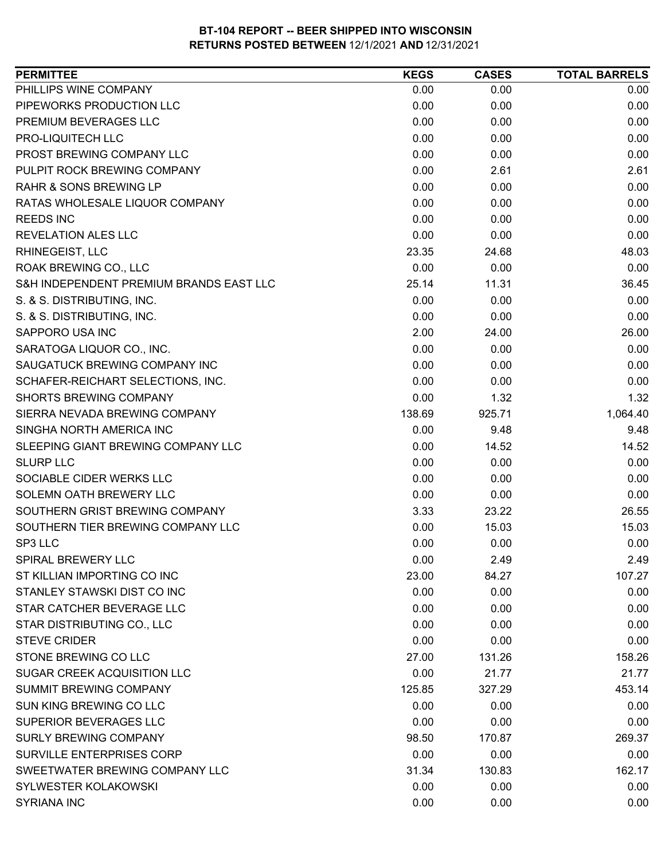| PHILLIPS WINE COMPANY<br>0.00<br>0.00<br>0.00<br>PIPEWORKS PRODUCTION LLC<br>0.00<br>0.00<br>0.00<br>PREMIUM BEVERAGES LLC<br>0.00<br>0.00<br>0.00<br>PRO-LIQUITECH LLC<br>0.00<br>0.00<br>0.00<br>PROST BREWING COMPANY LLC<br>0.00<br>0.00<br>0.00<br>PULPIT ROCK BREWING COMPANY<br>0.00<br>2.61<br>2.61<br><b>RAHR &amp; SONS BREWING LP</b><br>0.00<br>0.00<br>0.00<br>0.00<br>0.00<br>0.00<br>RATAS WHOLESALE LIQUOR COMPANY<br>0.00<br>0.00<br>0.00<br><b>REEDS INC</b><br><b>REVELATION ALES LLC</b><br>0.00<br>0.00<br>0.00<br>RHINEGEIST, LLC<br>23.35<br>24.68<br>48.03<br>0.00<br>0.00<br>0.00<br>ROAK BREWING CO., LLC<br>S&H INDEPENDENT PREMIUM BRANDS EAST LLC<br>25.14<br>11.31<br>36.45<br>S. & S. DISTRIBUTING, INC.<br>0.00<br>0.00<br>0.00<br>S. & S. DISTRIBUTING, INC.<br>0.00<br>0.00<br>0.00<br>SAPPORO USA INC<br>2.00<br>24.00<br>26.00<br>SARATOGA LIQUOR CO., INC.<br>0.00<br>0.00<br>0.00<br>SAUGATUCK BREWING COMPANY INC<br>0.00<br>0.00<br>0.00<br>0.00<br>0.00<br>SCHAFER-REICHART SELECTIONS, INC.<br>0.00<br>0.00<br><b>SHORTS BREWING COMPANY</b><br>1.32<br>1.32<br>138.69<br>925.71<br>1,064.40<br>SIERRA NEVADA BREWING COMPANY<br>SINGHA NORTH AMERICA INC<br>9.48<br>0.00<br>9.48<br>0.00<br>14.52<br>SLEEPING GIANT BREWING COMPANY LLC<br>14.52<br>0.00<br>0.00<br>0.00<br><b>SLURP LLC</b><br>0.00<br>0.00<br>SOCIABLE CIDER WERKS LLC<br>0.00<br>SOLEMN OATH BREWERY LLC<br>0.00<br>0.00<br>0.00<br>SOUTHERN GRIST BREWING COMPANY<br>3.33<br>23.22<br>26.55<br>SOUTHERN TIER BREWING COMPANY LLC<br>0.00<br>15.03<br>15.03<br>SP3 LLC<br>0.00<br>0.00<br>0.00<br><b>SPIRAL BREWERY LLC</b><br>0.00<br>2.49<br>2.49<br>ST KILLIAN IMPORTING CO INC<br>23.00<br>84.27<br>107.27<br>STANLEY STAWSKI DIST CO INC<br>0.00<br>0.00<br>0.00<br>STAR CATCHER BEVERAGE LLC<br>0.00<br>0.00<br>0.00<br>STAR DISTRIBUTING CO., LLC<br>0.00<br>0.00<br>0.00<br>0.00<br><b>STEVE CRIDER</b><br>0.00<br>0.00<br>STONE BREWING CO LLC<br>27.00<br>131.26<br>158.26<br>SUGAR CREEK ACQUISITION LLC<br>21.77<br>0.00<br>21.77<br>453.14<br><b>SUMMIT BREWING COMPANY</b><br>125.85<br>327.29<br>SUN KING BREWING CO LLC<br>0.00<br>0.00<br>0.00<br>SUPERIOR BEVERAGES LLC<br>0.00<br>0.00<br>0.00<br><b>SURLY BREWING COMPANY</b><br>269.37<br>98.50<br>170.87<br>SURVILLE ENTERPRISES CORP<br>0.00<br>0.00<br>0.00<br>SWEETWATER BREWING COMPANY LLC<br>130.83<br>162.17<br>31.34<br><b>SYLWESTER KOLAKOWSKI</b><br>0.00<br>0.00<br>0.00 | <b>PERMITTEE</b> | <b>KEGS</b> | <b>CASES</b> | <b>TOTAL BARRELS</b> |
|-------------------------------------------------------------------------------------------------------------------------------------------------------------------------------------------------------------------------------------------------------------------------------------------------------------------------------------------------------------------------------------------------------------------------------------------------------------------------------------------------------------------------------------------------------------------------------------------------------------------------------------------------------------------------------------------------------------------------------------------------------------------------------------------------------------------------------------------------------------------------------------------------------------------------------------------------------------------------------------------------------------------------------------------------------------------------------------------------------------------------------------------------------------------------------------------------------------------------------------------------------------------------------------------------------------------------------------------------------------------------------------------------------------------------------------------------------------------------------------------------------------------------------------------------------------------------------------------------------------------------------------------------------------------------------------------------------------------------------------------------------------------------------------------------------------------------------------------------------------------------------------------------------------------------------------------------------------------------------------------------------------------------------------------------------------------------------------------------------------------------------------------------------------------------------------------------------------------------------------------------------------------------------------------------------------------------------------------------------------------------------------------------------------------------------------------------------------------------|------------------|-------------|--------------|----------------------|
|                                                                                                                                                                                                                                                                                                                                                                                                                                                                                                                                                                                                                                                                                                                                                                                                                                                                                                                                                                                                                                                                                                                                                                                                                                                                                                                                                                                                                                                                                                                                                                                                                                                                                                                                                                                                                                                                                                                                                                                                                                                                                                                                                                                                                                                                                                                                                                                                                                                                         |                  |             |              |                      |
|                                                                                                                                                                                                                                                                                                                                                                                                                                                                                                                                                                                                                                                                                                                                                                                                                                                                                                                                                                                                                                                                                                                                                                                                                                                                                                                                                                                                                                                                                                                                                                                                                                                                                                                                                                                                                                                                                                                                                                                                                                                                                                                                                                                                                                                                                                                                                                                                                                                                         |                  |             |              |                      |
|                                                                                                                                                                                                                                                                                                                                                                                                                                                                                                                                                                                                                                                                                                                                                                                                                                                                                                                                                                                                                                                                                                                                                                                                                                                                                                                                                                                                                                                                                                                                                                                                                                                                                                                                                                                                                                                                                                                                                                                                                                                                                                                                                                                                                                                                                                                                                                                                                                                                         |                  |             |              |                      |
|                                                                                                                                                                                                                                                                                                                                                                                                                                                                                                                                                                                                                                                                                                                                                                                                                                                                                                                                                                                                                                                                                                                                                                                                                                                                                                                                                                                                                                                                                                                                                                                                                                                                                                                                                                                                                                                                                                                                                                                                                                                                                                                                                                                                                                                                                                                                                                                                                                                                         |                  |             |              |                      |
|                                                                                                                                                                                                                                                                                                                                                                                                                                                                                                                                                                                                                                                                                                                                                                                                                                                                                                                                                                                                                                                                                                                                                                                                                                                                                                                                                                                                                                                                                                                                                                                                                                                                                                                                                                                                                                                                                                                                                                                                                                                                                                                                                                                                                                                                                                                                                                                                                                                                         |                  |             |              |                      |
|                                                                                                                                                                                                                                                                                                                                                                                                                                                                                                                                                                                                                                                                                                                                                                                                                                                                                                                                                                                                                                                                                                                                                                                                                                                                                                                                                                                                                                                                                                                                                                                                                                                                                                                                                                                                                                                                                                                                                                                                                                                                                                                                                                                                                                                                                                                                                                                                                                                                         |                  |             |              |                      |
|                                                                                                                                                                                                                                                                                                                                                                                                                                                                                                                                                                                                                                                                                                                                                                                                                                                                                                                                                                                                                                                                                                                                                                                                                                                                                                                                                                                                                                                                                                                                                                                                                                                                                                                                                                                                                                                                                                                                                                                                                                                                                                                                                                                                                                                                                                                                                                                                                                                                         |                  |             |              |                      |
|                                                                                                                                                                                                                                                                                                                                                                                                                                                                                                                                                                                                                                                                                                                                                                                                                                                                                                                                                                                                                                                                                                                                                                                                                                                                                                                                                                                                                                                                                                                                                                                                                                                                                                                                                                                                                                                                                                                                                                                                                                                                                                                                                                                                                                                                                                                                                                                                                                                                         |                  |             |              |                      |
|                                                                                                                                                                                                                                                                                                                                                                                                                                                                                                                                                                                                                                                                                                                                                                                                                                                                                                                                                                                                                                                                                                                                                                                                                                                                                                                                                                                                                                                                                                                                                                                                                                                                                                                                                                                                                                                                                                                                                                                                                                                                                                                                                                                                                                                                                                                                                                                                                                                                         |                  |             |              |                      |
|                                                                                                                                                                                                                                                                                                                                                                                                                                                                                                                                                                                                                                                                                                                                                                                                                                                                                                                                                                                                                                                                                                                                                                                                                                                                                                                                                                                                                                                                                                                                                                                                                                                                                                                                                                                                                                                                                                                                                                                                                                                                                                                                                                                                                                                                                                                                                                                                                                                                         |                  |             |              |                      |
|                                                                                                                                                                                                                                                                                                                                                                                                                                                                                                                                                                                                                                                                                                                                                                                                                                                                                                                                                                                                                                                                                                                                                                                                                                                                                                                                                                                                                                                                                                                                                                                                                                                                                                                                                                                                                                                                                                                                                                                                                                                                                                                                                                                                                                                                                                                                                                                                                                                                         |                  |             |              |                      |
|                                                                                                                                                                                                                                                                                                                                                                                                                                                                                                                                                                                                                                                                                                                                                                                                                                                                                                                                                                                                                                                                                                                                                                                                                                                                                                                                                                                                                                                                                                                                                                                                                                                                                                                                                                                                                                                                                                                                                                                                                                                                                                                                                                                                                                                                                                                                                                                                                                                                         |                  |             |              |                      |
|                                                                                                                                                                                                                                                                                                                                                                                                                                                                                                                                                                                                                                                                                                                                                                                                                                                                                                                                                                                                                                                                                                                                                                                                                                                                                                                                                                                                                                                                                                                                                                                                                                                                                                                                                                                                                                                                                                                                                                                                                                                                                                                                                                                                                                                                                                                                                                                                                                                                         |                  |             |              |                      |
|                                                                                                                                                                                                                                                                                                                                                                                                                                                                                                                                                                                                                                                                                                                                                                                                                                                                                                                                                                                                                                                                                                                                                                                                                                                                                                                                                                                                                                                                                                                                                                                                                                                                                                                                                                                                                                                                                                                                                                                                                                                                                                                                                                                                                                                                                                                                                                                                                                                                         |                  |             |              |                      |
|                                                                                                                                                                                                                                                                                                                                                                                                                                                                                                                                                                                                                                                                                                                                                                                                                                                                                                                                                                                                                                                                                                                                                                                                                                                                                                                                                                                                                                                                                                                                                                                                                                                                                                                                                                                                                                                                                                                                                                                                                                                                                                                                                                                                                                                                                                                                                                                                                                                                         |                  |             |              |                      |
|                                                                                                                                                                                                                                                                                                                                                                                                                                                                                                                                                                                                                                                                                                                                                                                                                                                                                                                                                                                                                                                                                                                                                                                                                                                                                                                                                                                                                                                                                                                                                                                                                                                                                                                                                                                                                                                                                                                                                                                                                                                                                                                                                                                                                                                                                                                                                                                                                                                                         |                  |             |              |                      |
|                                                                                                                                                                                                                                                                                                                                                                                                                                                                                                                                                                                                                                                                                                                                                                                                                                                                                                                                                                                                                                                                                                                                                                                                                                                                                                                                                                                                                                                                                                                                                                                                                                                                                                                                                                                                                                                                                                                                                                                                                                                                                                                                                                                                                                                                                                                                                                                                                                                                         |                  |             |              |                      |
|                                                                                                                                                                                                                                                                                                                                                                                                                                                                                                                                                                                                                                                                                                                                                                                                                                                                                                                                                                                                                                                                                                                                                                                                                                                                                                                                                                                                                                                                                                                                                                                                                                                                                                                                                                                                                                                                                                                                                                                                                                                                                                                                                                                                                                                                                                                                                                                                                                                                         |                  |             |              |                      |
|                                                                                                                                                                                                                                                                                                                                                                                                                                                                                                                                                                                                                                                                                                                                                                                                                                                                                                                                                                                                                                                                                                                                                                                                                                                                                                                                                                                                                                                                                                                                                                                                                                                                                                                                                                                                                                                                                                                                                                                                                                                                                                                                                                                                                                                                                                                                                                                                                                                                         |                  |             |              |                      |
|                                                                                                                                                                                                                                                                                                                                                                                                                                                                                                                                                                                                                                                                                                                                                                                                                                                                                                                                                                                                                                                                                                                                                                                                                                                                                                                                                                                                                                                                                                                                                                                                                                                                                                                                                                                                                                                                                                                                                                                                                                                                                                                                                                                                                                                                                                                                                                                                                                                                         |                  |             |              |                      |
|                                                                                                                                                                                                                                                                                                                                                                                                                                                                                                                                                                                                                                                                                                                                                                                                                                                                                                                                                                                                                                                                                                                                                                                                                                                                                                                                                                                                                                                                                                                                                                                                                                                                                                                                                                                                                                                                                                                                                                                                                                                                                                                                                                                                                                                                                                                                                                                                                                                                         |                  |             |              |                      |
|                                                                                                                                                                                                                                                                                                                                                                                                                                                                                                                                                                                                                                                                                                                                                                                                                                                                                                                                                                                                                                                                                                                                                                                                                                                                                                                                                                                                                                                                                                                                                                                                                                                                                                                                                                                                                                                                                                                                                                                                                                                                                                                                                                                                                                                                                                                                                                                                                                                                         |                  |             |              |                      |
|                                                                                                                                                                                                                                                                                                                                                                                                                                                                                                                                                                                                                                                                                                                                                                                                                                                                                                                                                                                                                                                                                                                                                                                                                                                                                                                                                                                                                                                                                                                                                                                                                                                                                                                                                                                                                                                                                                                                                                                                                                                                                                                                                                                                                                                                                                                                                                                                                                                                         |                  |             |              |                      |
|                                                                                                                                                                                                                                                                                                                                                                                                                                                                                                                                                                                                                                                                                                                                                                                                                                                                                                                                                                                                                                                                                                                                                                                                                                                                                                                                                                                                                                                                                                                                                                                                                                                                                                                                                                                                                                                                                                                                                                                                                                                                                                                                                                                                                                                                                                                                                                                                                                                                         |                  |             |              |                      |
|                                                                                                                                                                                                                                                                                                                                                                                                                                                                                                                                                                                                                                                                                                                                                                                                                                                                                                                                                                                                                                                                                                                                                                                                                                                                                                                                                                                                                                                                                                                                                                                                                                                                                                                                                                                                                                                                                                                                                                                                                                                                                                                                                                                                                                                                                                                                                                                                                                                                         |                  |             |              |                      |
|                                                                                                                                                                                                                                                                                                                                                                                                                                                                                                                                                                                                                                                                                                                                                                                                                                                                                                                                                                                                                                                                                                                                                                                                                                                                                                                                                                                                                                                                                                                                                                                                                                                                                                                                                                                                                                                                                                                                                                                                                                                                                                                                                                                                                                                                                                                                                                                                                                                                         |                  |             |              |                      |
|                                                                                                                                                                                                                                                                                                                                                                                                                                                                                                                                                                                                                                                                                                                                                                                                                                                                                                                                                                                                                                                                                                                                                                                                                                                                                                                                                                                                                                                                                                                                                                                                                                                                                                                                                                                                                                                                                                                                                                                                                                                                                                                                                                                                                                                                                                                                                                                                                                                                         |                  |             |              |                      |
|                                                                                                                                                                                                                                                                                                                                                                                                                                                                                                                                                                                                                                                                                                                                                                                                                                                                                                                                                                                                                                                                                                                                                                                                                                                                                                                                                                                                                                                                                                                                                                                                                                                                                                                                                                                                                                                                                                                                                                                                                                                                                                                                                                                                                                                                                                                                                                                                                                                                         |                  |             |              |                      |
|                                                                                                                                                                                                                                                                                                                                                                                                                                                                                                                                                                                                                                                                                                                                                                                                                                                                                                                                                                                                                                                                                                                                                                                                                                                                                                                                                                                                                                                                                                                                                                                                                                                                                                                                                                                                                                                                                                                                                                                                                                                                                                                                                                                                                                                                                                                                                                                                                                                                         |                  |             |              |                      |
|                                                                                                                                                                                                                                                                                                                                                                                                                                                                                                                                                                                                                                                                                                                                                                                                                                                                                                                                                                                                                                                                                                                                                                                                                                                                                                                                                                                                                                                                                                                                                                                                                                                                                                                                                                                                                                                                                                                                                                                                                                                                                                                                                                                                                                                                                                                                                                                                                                                                         |                  |             |              |                      |
|                                                                                                                                                                                                                                                                                                                                                                                                                                                                                                                                                                                                                                                                                                                                                                                                                                                                                                                                                                                                                                                                                                                                                                                                                                                                                                                                                                                                                                                                                                                                                                                                                                                                                                                                                                                                                                                                                                                                                                                                                                                                                                                                                                                                                                                                                                                                                                                                                                                                         |                  |             |              |                      |
|                                                                                                                                                                                                                                                                                                                                                                                                                                                                                                                                                                                                                                                                                                                                                                                                                                                                                                                                                                                                                                                                                                                                                                                                                                                                                                                                                                                                                                                                                                                                                                                                                                                                                                                                                                                                                                                                                                                                                                                                                                                                                                                                                                                                                                                                                                                                                                                                                                                                         |                  |             |              |                      |
|                                                                                                                                                                                                                                                                                                                                                                                                                                                                                                                                                                                                                                                                                                                                                                                                                                                                                                                                                                                                                                                                                                                                                                                                                                                                                                                                                                                                                                                                                                                                                                                                                                                                                                                                                                                                                                                                                                                                                                                                                                                                                                                                                                                                                                                                                                                                                                                                                                                                         |                  |             |              |                      |
|                                                                                                                                                                                                                                                                                                                                                                                                                                                                                                                                                                                                                                                                                                                                                                                                                                                                                                                                                                                                                                                                                                                                                                                                                                                                                                                                                                                                                                                                                                                                                                                                                                                                                                                                                                                                                                                                                                                                                                                                                                                                                                                                                                                                                                                                                                                                                                                                                                                                         |                  |             |              |                      |
|                                                                                                                                                                                                                                                                                                                                                                                                                                                                                                                                                                                                                                                                                                                                                                                                                                                                                                                                                                                                                                                                                                                                                                                                                                                                                                                                                                                                                                                                                                                                                                                                                                                                                                                                                                                                                                                                                                                                                                                                                                                                                                                                                                                                                                                                                                                                                                                                                                                                         |                  |             |              |                      |
|                                                                                                                                                                                                                                                                                                                                                                                                                                                                                                                                                                                                                                                                                                                                                                                                                                                                                                                                                                                                                                                                                                                                                                                                                                                                                                                                                                                                                                                                                                                                                                                                                                                                                                                                                                                                                                                                                                                                                                                                                                                                                                                                                                                                                                                                                                                                                                                                                                                                         |                  |             |              |                      |
|                                                                                                                                                                                                                                                                                                                                                                                                                                                                                                                                                                                                                                                                                                                                                                                                                                                                                                                                                                                                                                                                                                                                                                                                                                                                                                                                                                                                                                                                                                                                                                                                                                                                                                                                                                                                                                                                                                                                                                                                                                                                                                                                                                                                                                                                                                                                                                                                                                                                         |                  |             |              |                      |
|                                                                                                                                                                                                                                                                                                                                                                                                                                                                                                                                                                                                                                                                                                                                                                                                                                                                                                                                                                                                                                                                                                                                                                                                                                                                                                                                                                                                                                                                                                                                                                                                                                                                                                                                                                                                                                                                                                                                                                                                                                                                                                                                                                                                                                                                                                                                                                                                                                                                         |                  |             |              |                      |
|                                                                                                                                                                                                                                                                                                                                                                                                                                                                                                                                                                                                                                                                                                                                                                                                                                                                                                                                                                                                                                                                                                                                                                                                                                                                                                                                                                                                                                                                                                                                                                                                                                                                                                                                                                                                                                                                                                                                                                                                                                                                                                                                                                                                                                                                                                                                                                                                                                                                         |                  |             |              |                      |
|                                                                                                                                                                                                                                                                                                                                                                                                                                                                                                                                                                                                                                                                                                                                                                                                                                                                                                                                                                                                                                                                                                                                                                                                                                                                                                                                                                                                                                                                                                                                                                                                                                                                                                                                                                                                                                                                                                                                                                                                                                                                                                                                                                                                                                                                                                                                                                                                                                                                         |                  |             |              |                      |
|                                                                                                                                                                                                                                                                                                                                                                                                                                                                                                                                                                                                                                                                                                                                                                                                                                                                                                                                                                                                                                                                                                                                                                                                                                                                                                                                                                                                                                                                                                                                                                                                                                                                                                                                                                                                                                                                                                                                                                                                                                                                                                                                                                                                                                                                                                                                                                                                                                                                         |                  |             |              |                      |
|                                                                                                                                                                                                                                                                                                                                                                                                                                                                                                                                                                                                                                                                                                                                                                                                                                                                                                                                                                                                                                                                                                                                                                                                                                                                                                                                                                                                                                                                                                                                                                                                                                                                                                                                                                                                                                                                                                                                                                                                                                                                                                                                                                                                                                                                                                                                                                                                                                                                         |                  |             |              |                      |
|                                                                                                                                                                                                                                                                                                                                                                                                                                                                                                                                                                                                                                                                                                                                                                                                                                                                                                                                                                                                                                                                                                                                                                                                                                                                                                                                                                                                                                                                                                                                                                                                                                                                                                                                                                                                                                                                                                                                                                                                                                                                                                                                                                                                                                                                                                                                                                                                                                                                         |                  |             |              |                      |
|                                                                                                                                                                                                                                                                                                                                                                                                                                                                                                                                                                                                                                                                                                                                                                                                                                                                                                                                                                                                                                                                                                                                                                                                                                                                                                                                                                                                                                                                                                                                                                                                                                                                                                                                                                                                                                                                                                                                                                                                                                                                                                                                                                                                                                                                                                                                                                                                                                                                         |                  |             |              |                      |
| <b>SYRIANA INC</b><br>0.00<br>0.00<br>0.00                                                                                                                                                                                                                                                                                                                                                                                                                                                                                                                                                                                                                                                                                                                                                                                                                                                                                                                                                                                                                                                                                                                                                                                                                                                                                                                                                                                                                                                                                                                                                                                                                                                                                                                                                                                                                                                                                                                                                                                                                                                                                                                                                                                                                                                                                                                                                                                                                              |                  |             |              |                      |